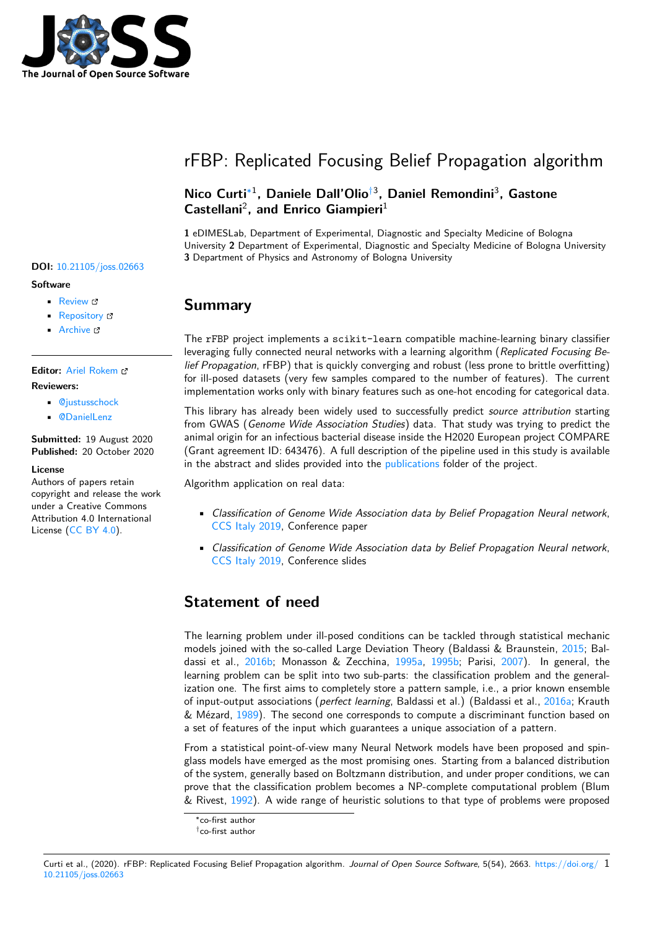

# rFBP: Replicated Focusing Belief Propagation algorithm

### **Nico Curti**∗1 **, Daniele Dall'Olio**†3 **, Daniel Remondini**<sup>3</sup> **, Gastone** Castellani<sup>2</sup>, and Enrico Giampieri<sup>1</sup>

**1** eDIMESLab, Department of Experimental, Diagnostic and Specialty Medicine of Bologna University **2** Department of Experimental, Diagnostic and Specialty Medicine of Bologna University **3** Department of Physics and Astronomy of Bologna University

## **Summary**

The rFBP project implements a scikit-learn compatible machine-learning binary classifier leveraging fully connected neural networks with a learning algorithm (*Replicated Focusing Belief Propagation*, rFBP) that is quickly converging and robust (less prone to brittle overfitting) for ill-posed datasets (very few samples compared to the number of features). The current implementation works only with binary features such as one-hot encoding for categorical data.

This library has already been widely used to successfully predict *source attribution* starting from GWAS (*Genome Wide Association Studies*) data. That study was trying to predict the animal origin for an infectious bacterial disease inside the H2020 European project COMPARE (Grant agreement ID: 643476). A full description of the pipeline used in this study is available in the abstract and slides provided into the publications folder of the project.

Algorithm application on real data:

- *Classification of Genome Wide Associ[ation data b](https://github.com/Nico-Curti/rFBP/blob/master/publications)y Belief Propagation Neural network*, CCS Italy 2019, Conference paper
- *Classification of Genome Wide Association data by Belief Propagation Neural network*, CCS Italy 2019, Conference slides

## **Sta[tement of](https://github.com/Nico-Curti/rFBP/blob/master/publications/presentation/ccs19.pdf) need**

The learning problem under ill-posed conditions can be tackled through statistical mechanic models joined with the so-called Large Deviation Theory (Baldassi & Braunstein, 2015; Baldassi et al., 2016b; Monasson & Zecchina, 1995a, 1995b; Parisi, 2007). In general, the learning problem can be split into two sub-parts: the classification problem and the generalization one. The first aims to completely store a pattern sample, i.e., a prior known ensemble of input-output associations (*perfect learning*, Baldassi et al.) (Baldassi et al., 201[6a; K](#page-1-0)rauth & Mézard, 1[989\). T](#page-1-1)he second one correspon[ds to co](#page-2-0)[mpute](#page-2-1) a discri[minant](#page-2-2) function based on a set of features of the input which guarantees a unique association of a pattern.

From a statistical point-of-view many Neural Network models have been proposed and spinglass models have emerged as the most promising ones. Starting from a balan[ced dist](#page-1-2)ribution of the syste[m, ge](#page-2-3)nerally based on Boltzmann distribution, and under proper conditions, we can prove that the classification problem becomes a NP-complete computational problem (Blum & Rivest, 1992). A wide range of heuristic solutions to that type of problems were proposed

### Curti et al., (2020). rFBP: Replicated Focusing [Belief](#page-1-3) Propagation algorithm. *Journal of Open Source Software*, 5(54), 2663. https://doi.org/ 110.21105/joss.02663

**DOI:** 10.21105/joss.02663

#### **Software**

- Review C
- [Repository](https://doi.org/10.21105/joss.02663) &
- Archive

**Editor:** [Ariel Rok](https://github.com/Nico-Curti/rFBP)em **Revie[wers:](https://doi.org/10.5281/zenodo.4106174)**

- @justusschock
- @[DanielLenz](http://arokem.org/)

**Submitted:** 19 August 2020 **Published:** [20 Octob](https://github.com/justusschock)er 2020

#### **Licen[se](https://github.com/DanielLenz)**

Authors of papers retain copyright and release the work under a Creative Commons Attribution 4.0 International License (CC BY 4.0).

<sup>∗</sup>co-first author

<sup>†</sup>co-first author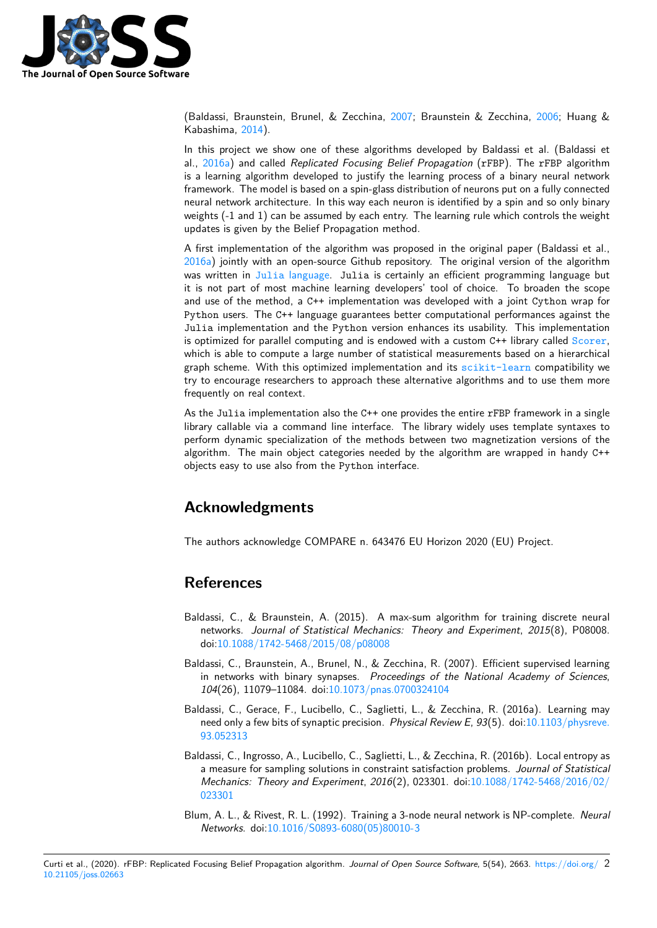

(Baldassi, Braunstein, Brunel, & Zecchina, 2007; Braunstein & Zecchina, 2006; Huang & Kabashima, 2014).

In this project we show one of these algorithms developed by Baldassi et al. (Baldassi et al., 2016a) and called *Replicated Focusing Belief Propagation* (rFBP). The rFBP algorithm is a learning algorithm developed to justify [the le](#page-1-4)arning process of a binar[y neur](#page-2-4)al network framework. [The m](#page-2-5)odel is based on a spin-glass distribution of neurons put on a fully connected neural network architecture. In this way each neuron is identified by a spin and so only binary wei[ghts \(-1](#page-1-2) and 1) can be assumed by each entry. The learning rule which controls the weight updates is given by the Belief Propagation method.

A first implementation of the algorithm was proposed in the original paper (Baldassi et al., 2016a) jointly with an open-source Github repository. The original version of the algorithm was written in Julia language. Julia is certainly an efficient programming language but it is not part of most machine learning developers' tool of choice. To broaden the scope and use of the method, a C++ implementation was developed with a joint Cython wrap for [Pytho](#page-1-2)n users. The C++ language guarantees better computational performances against the Julia implem[entation and the](https://github.com/carlobaldassi/BinaryCommitteeMachineFBP.jl) Python version enhances its usability. This implementation is optimized for parallel computing and is endowed with a custom C++ library called Scorer, which is able to compute a large number of statistical measurements based on a hierarchical graph scheme. With this optimized implementation and its scikit-learn compatibility we try to encourage researchers to approach these alternative algorithms and to use them more frequently on real context.

As the Julia implementation also the C++ one provides the entire rFBP framework in a single library callable via a command line interface. The library [widely uses temp](https://github.com/scikit-learn/scikit-learn)late syntaxes to perform dynamic specialization of the methods between two magnetization versions of the algorithm. The main object categories needed by the algorithm are wrapped in handy C++ objects easy to use also from the Python interface.

### **Acknowledgments**

The authors acknowledge COMPARE n. 643476 EU Horizon 2020 (EU) Project.

### **References**

- Baldassi, C., & Braunstein, A. (2015). A max-sum algorithm for training discrete neural networks. *Journal of Statistical Mechanics: Theory and Experiment*, *2015*(8), P08008. doi:10.1088/1742-5468/2015/08/p08008
- <span id="page-1-0"></span>Baldassi, C., Braunstein, A., Brunel, N., & Zecchina, R. (2007). Efficient supervised learning in networks with binary synapses. *Proceedings of the National Academy of Sciences*, *104*[\(26\), 11079–11084. doi:10.1073/pnas](https://doi.org/10.1088/1742-5468/2015/08/p08008).0700324104
- <span id="page-1-4"></span>Baldassi, C., Gerace, F., Lucibello, C., Saglietti, L., & Zecchina, R. (2016a). Learning may need only a few bits of synaptic precision. *Physical Review E*, *93*(5). doi:10.1103/physreve. 93.052313
- <span id="page-1-2"></span>Baldassi, C., Ingrosso, A., Lucib[ello, C., Saglietti, L., & Zec](https://doi.org/10.1073/pnas.0700324104)china, R. (2016b). Local entropy as a measure for sampling solutions in constraint satisfaction problems. *Journal of Statistical [Mechanics](https://doi.org/10.1103/physreve.93.052313): Theory and Experiment*, *2016*(2), 023301. doi:10.1088/17[42-5468/2016/02/](https://doi.org/10.1103/physreve.93.052313) 023301
- <span id="page-1-3"></span><span id="page-1-1"></span>Blum, A. L., & Rivest, R. L. (1992). Training a 3-node neural network is NP-complete. *Neural Networks*. doi:10.1016/S0893-6080(05)80010-3